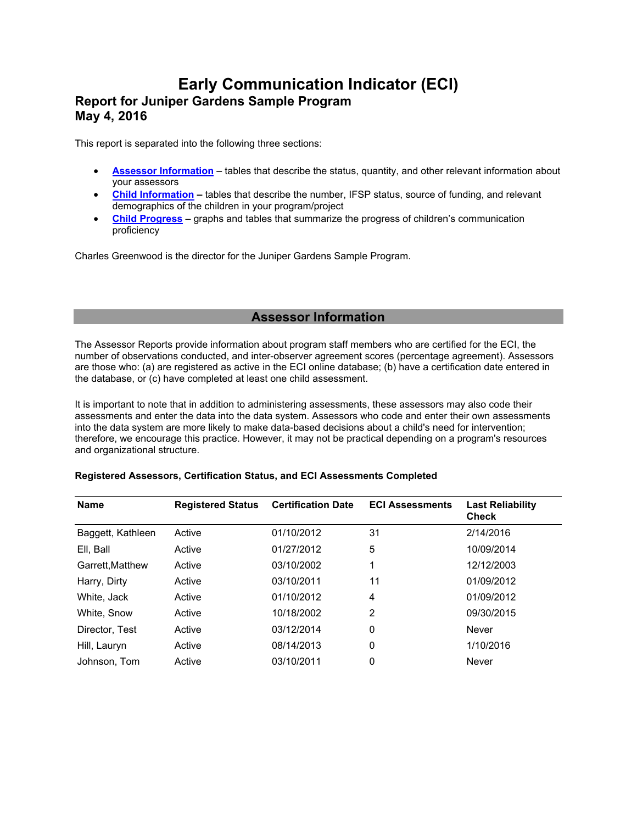# **Early Communication Indicator (ECI) Report for Juniper Gardens Sample Program May 4, 2016**

This report is separated into the following three sections:

- **Assessor Information** tables that describe the status, quantity, and other relevant information about your assessors
- **Child Information** tables that describe the number, IFSP status, source of funding, and relevant demographics of the children in your program/project
- **Child Progress** graphs and tables that summarize the progress of children's communication proficiency

Charles Greenwood is the director for the Juniper Gardens Sample Program.

# **Assessor Information**

The Assessor Reports provide information about program staff members who are certified for the ECI, the number of observations conducted, and inter-observer agreement scores (percentage agreement). Assessors are those who: (a) are registered as active in the ECI online database; (b) have a certification date entered in the database, or (c) have completed at least one child assessment.

It is important to note that in addition to administering assessments, these assessors may also code their assessments and enter the data into the data system. Assessors who code and enter their own assessments into the data system are more likely to make data-based decisions about a child's need for intervention; therefore, we encourage this practice. However, it may not be practical depending on a program's resources and organizational structure.

# **Registered Assessors, Certification Status, and ECI Assessments Completed**

| <b>Name</b>       | <b>Registered Status</b> | <b>Certification Date</b> | <b>ECI Assessments</b> | <b>Last Reliability</b><br><b>Check</b> |
|-------------------|--------------------------|---------------------------|------------------------|-----------------------------------------|
| Baggett, Kathleen | Active                   | 01/10/2012                | 31                     | 2/14/2016                               |
| Ell, Ball         | Active                   | 01/27/2012                | 5                      | 10/09/2014                              |
| Garrett.Matthew   | Active                   | 03/10/2002                | 1                      | 12/12/2003                              |
| Harry, Dirty      | Active                   | 03/10/2011                | 11                     | 01/09/2012                              |
| White, Jack       | Active                   | 01/10/2012                | 4                      | 01/09/2012                              |
| White, Snow       | Active                   | 10/18/2002                | $\overline{2}$         | 09/30/2015                              |
| Director, Test    | Active                   | 03/12/2014                | 0                      | Never                                   |
| Hill, Lauryn      | Active                   | 08/14/2013                | 0                      | 1/10/2016                               |
| Johnson, Tom      | Active                   | 03/10/2011                | 0                      | Never                                   |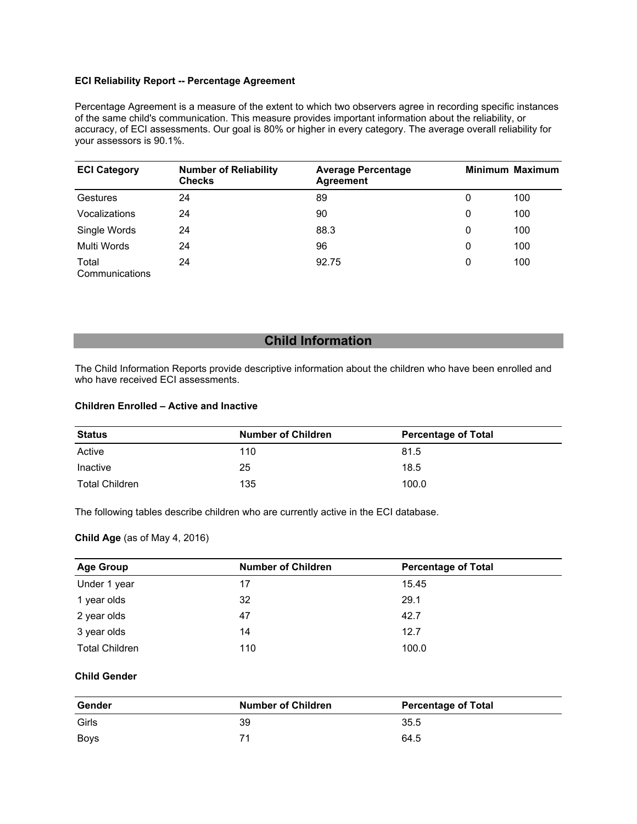## **ECI Reliability Report -- Percentage Agreement**

Percentage Agreement is a measure of the extent to which two observers agree in recording specific instances of the same child's communication. This measure provides important information about the reliability, or accuracy, of ECI assessments. Our goal is 80% or higher in every category. The average overall reliability for your assessors is 90.1%.

| <b>ECI Category</b>     | <b>Number of Reliability</b><br><b>Checks</b> | <b>Average Percentage</b><br><b>Agreement</b> |   | <b>Minimum Maximum</b> |
|-------------------------|-----------------------------------------------|-----------------------------------------------|---|------------------------|
| Gestures                | 24                                            | 89                                            | 0 | 100                    |
| Vocalizations           | 24                                            | 90                                            | 0 | 100                    |
| Single Words            | 24                                            | 88.3                                          | 0 | 100                    |
| Multi Words             | 24                                            | 96                                            | 0 | 100                    |
| Total<br>Communications | 24                                            | 92.75                                         | 0 | 100                    |

# **Child Information**

The Child Information Reports provide descriptive information about the children who have been enrolled and who have received ECI assessments.

## **Children Enrolled – Active and Inactive**

| Status         | <b>Number of Children</b> | <b>Percentage of Total</b> |
|----------------|---------------------------|----------------------------|
| Active         | 110                       | 81.5                       |
| Inactive       | 25                        | 18.5                       |
| Total Children | 135                       | 100.0                      |

The following tables describe children who are currently active in the ECI database.

## **Child Age** (as of May 4, 2016)

| <b>Age Group</b>      | <b>Number of Children</b> | <b>Percentage of Total</b> |
|-----------------------|---------------------------|----------------------------|
| Under 1 year          | 17                        | 15.45                      |
| 1 year olds           | 32                        | 29.1                       |
| 2 year olds           | 47                        | 42.7                       |
| 3 year olds           | 14                        | 12.7                       |
| <b>Total Children</b> | 110                       | 100.0                      |

## **Child Gender**

| Gender | <b>Number of Children</b> | <b>Percentage of Total</b> |
|--------|---------------------------|----------------------------|
| Girls  | 39                        | 35.5                       |
| Boys   |                           | 64.5                       |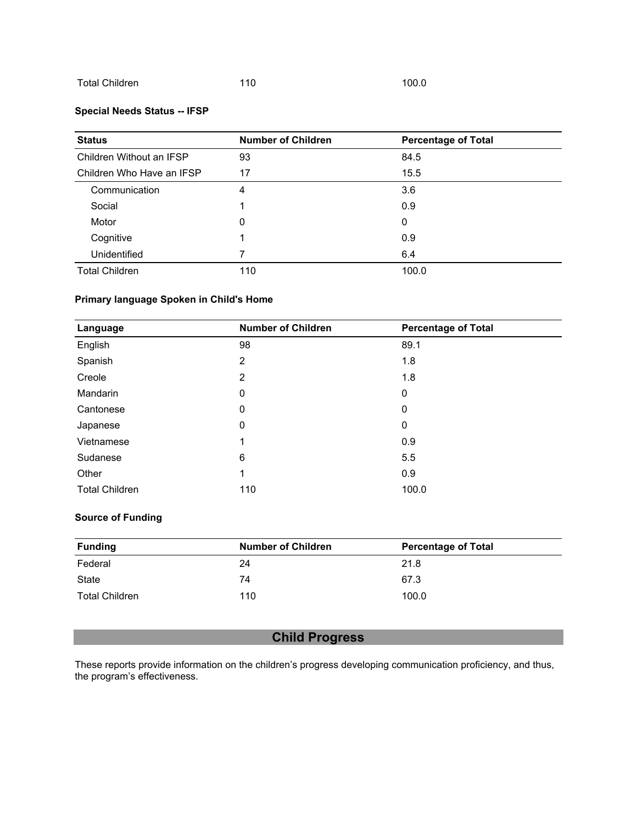## Total Children 110 100.0

## **Special Needs Status -- IFSP**

| <b>Status</b>             | <b>Number of Children</b> | <b>Percentage of Total</b> |
|---------------------------|---------------------------|----------------------------|
| Children Without an IFSP  | 93                        | 84.5                       |
| Children Who Have an IFSP | 17                        | 15.5                       |
| Communication             | 4                         | 3.6                        |
| Social                    |                           | 0.9                        |
| Motor                     | 0                         | 0                          |
| Cognitive                 |                           | 0.9                        |
| Unidentified              |                           | 6.4                        |
| <b>Total Children</b>     | 110                       | 100.0                      |

## **Primary language Spoken in Child's Home**

| Language              | <b>Number of Children</b> | <b>Percentage of Total</b> |
|-----------------------|---------------------------|----------------------------|
| English               | 98                        | 89.1                       |
| Spanish               | $\overline{2}$            | 1.8                        |
| Creole                | 2                         | 1.8                        |
| <b>Mandarin</b>       | $\mathbf 0$               | $\mathbf 0$                |
| Cantonese             | 0                         | 0                          |
| Japanese              | 0                         | $\mathbf 0$                |
| Vietnamese            | 1                         | 0.9                        |
| Sudanese              | 6                         | 5.5                        |
| Other                 | 1                         | 0.9                        |
| <b>Total Children</b> | 110                       | 100.0                      |

## **Source of Funding**

| <b>Funding</b> | <b>Number of Children</b> | <b>Percentage of Total</b> |
|----------------|---------------------------|----------------------------|
| Federal        | 24                        | 21.8                       |
| State          | 74                        | 67.3                       |
| Total Children | 110                       | 100.0                      |

# **Child Progress**

These reports provide information on the children's progress developing communication proficiency, and thus, the program's effectiveness.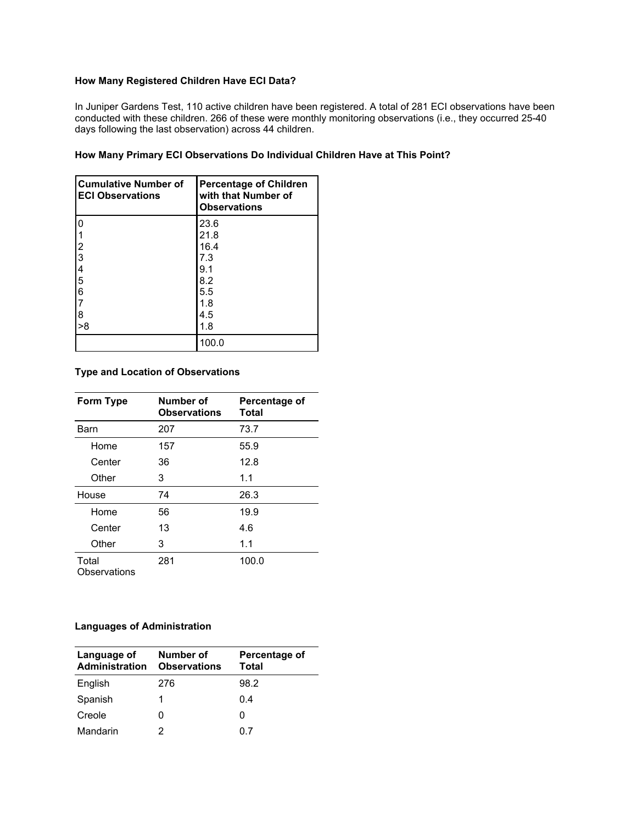## **How Many Registered Children Have ECI Data?**

In Juniper Gardens Test, 110 active children have been registered. A total of 281 ECI observations have been conducted with these children. 266 of these were monthly monitoring observations (i.e., they occurred 25-40 days following the last observation) across 44 children.

## **How Many Primary ECI Observations Do Individual Children Have at This Point?**

| <b>Cumulative Number of</b><br><b>ECI Observations</b> | <b>Percentage of Children</b><br>with that Number of<br><b>Observations</b> |
|--------------------------------------------------------|-----------------------------------------------------------------------------|
| 0                                                      | 23.6                                                                        |
|                                                        | 21.8                                                                        |
|                                                        | 16.4                                                                        |
|                                                        | 7.3                                                                         |
| $\begin{array}{c} 12 \\ 23 \\ 45 \\ 6 \end{array}$     | 9.1                                                                         |
|                                                        | 8.2                                                                         |
|                                                        | 5.5                                                                         |
| $\overline{7}$                                         | 1.8                                                                         |
| $\overline{8}$                                         | 4.5                                                                         |
| >8                                                     | 1.8                                                                         |
|                                                        | 100.0                                                                       |

## **Type and Location of Observations**

| Form Type             | Number of<br><b>Observations</b> | Percentage of<br>Total |
|-----------------------|----------------------------------|------------------------|
| Barn                  | 207                              | 73.7                   |
| Home                  | 157                              | 55.9                   |
| Center                | 36                               | 12.8                   |
| Other                 | 3                                | 1.1                    |
| House                 | 74                               | 26.3                   |
| Home                  | 56                               | 19.9                   |
| Center                | 13                               | 4.6                    |
| Other                 | 3                                | 1.1                    |
| Total<br>Observations | 281                              | 100.0                  |

# **Languages of Administration**

| Language of<br>Administration | Number of<br><b>Observations</b> | Percentage of<br>Total |
|-------------------------------|----------------------------------|------------------------|
| English                       | 276                              | 98.2                   |
| Spanish                       | 1                                | 0.4                    |
| Creole                        |                                  | O                      |
| Mandarin                      |                                  |                        |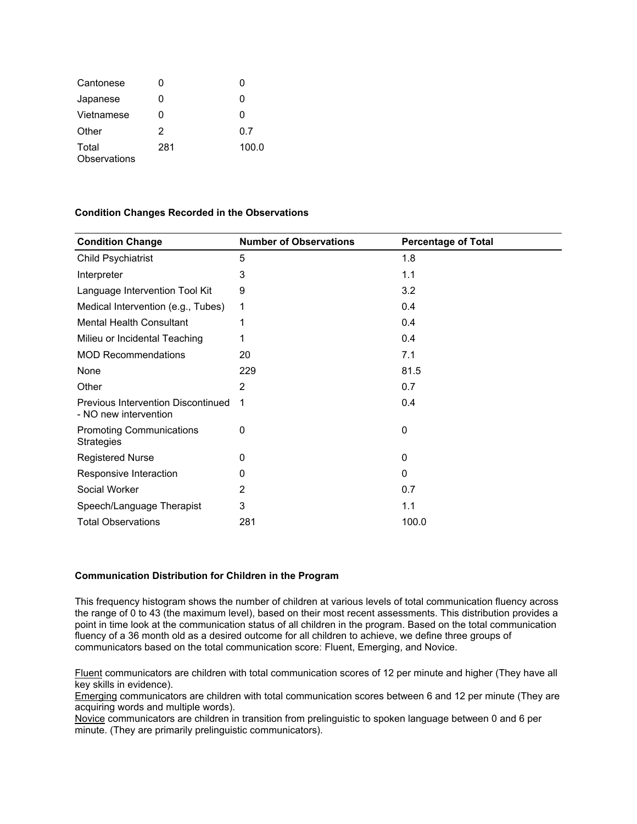| Cantonese             |     |       |
|-----------------------|-----|-------|
| Japanese              |     | O     |
| Vietnamese            |     | O     |
| Other                 | 2   | 0.7   |
| Total<br>Observations | 281 | 100.0 |

#### **Condition Changes Recorded in the Observations**

| <b>Condition Change</b>                                            | <b>Number of Observations</b> | <b>Percentage of Total</b> |
|--------------------------------------------------------------------|-------------------------------|----------------------------|
| Child Psychiatrist                                                 | 5                             | 1.8                        |
| Interpreter                                                        | 3                             | 1.1                        |
| Language Intervention Tool Kit                                     | 9                             | 3.2                        |
| Medical Intervention (e.g., Tubes)                                 | 1                             | 0.4                        |
| <b>Mental Health Consultant</b>                                    | 1                             | 0.4                        |
| Milieu or Incidental Teaching                                      | 1                             | 0.4                        |
| <b>MOD Recommendations</b>                                         | 20                            | 7.1                        |
| None                                                               | 229                           | 81.5                       |
| Other                                                              | 2                             | 0.7                        |
| <b>Previous Intervention Discontinued</b><br>- NO new intervention |                               | 0.4                        |
| <b>Promoting Communications</b><br><b>Strategies</b>               | 0                             | 0                          |
| <b>Registered Nurse</b>                                            | O                             | 0                          |
| Responsive Interaction                                             | 0                             | $\Omega$                   |
| Social Worker                                                      | 2                             | 0.7                        |
| Speech/Language Therapist                                          | 3                             | 1.1                        |
| <b>Total Observations</b>                                          | 281                           | 100.0                      |

## **Communication Distribution for Children in the Program**

This frequency histogram shows the number of children at various levels of total communication fluency across the range of 0 to 43 (the maximum level), based on their most recent assessments. This distribution provides a point in time look at the communication status of all children in the program. Based on the total communication fluency of a 36 month old as a desired outcome for all children to achieve, we define three groups of communicators based on the total communication score: Fluent, Emerging, and Novice.

Fluent communicators are children with total communication scores of 12 per minute and higher (They have all key skills in evidence).

Emerging communicators are children with total communication scores between 6 and 12 per minute (They are acquiring words and multiple words).

Novice communicators are children in transition from prelinguistic to spoken language between 0 and 6 per minute. (They are primarily prelinguistic communicators).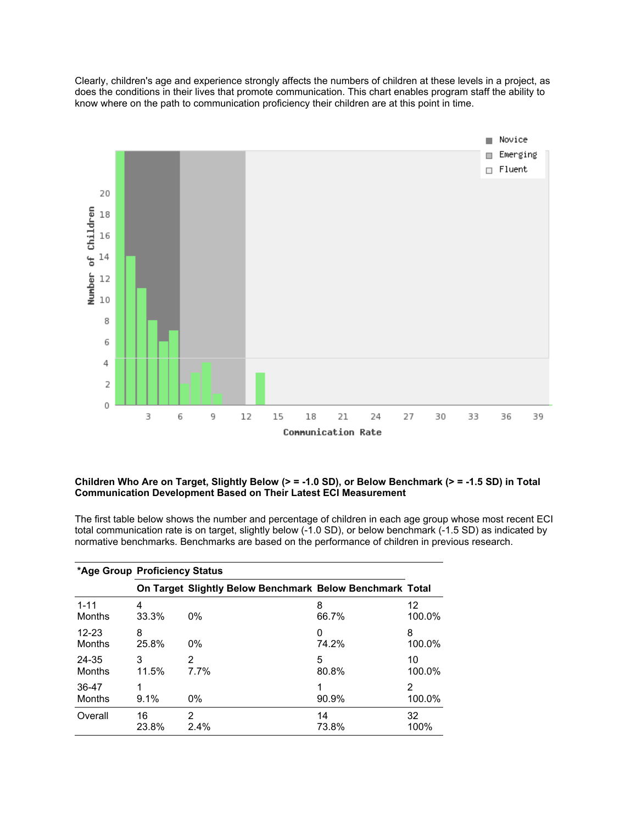Clearly, children's age and experience strongly affects the numbers of children at these levels in a project, as does the conditions in their lives that promote communication. This chart enables program staff the ability to know where on the path to communication proficiency their children are at this point in time.



## **Children Who Are on Target, Slightly Below (> = -1.0 SD), or Below Benchmark (> = -1.5 SD) in Total Communication Development Based on Their Latest ECI Measurement**

The first table below shows the number and percentage of children in each age group whose most recent ECI total communication rate is on target, slightly below (-1.0 SD), or below benchmark (-1.5 SD) as indicated by normative benchmarks. Benchmarks are based on the performance of children in previous research.

|                 | *Age Group Proficiency Status |                                                          |       |             |
|-----------------|-------------------------------|----------------------------------------------------------|-------|-------------|
|                 |                               | On Target Slightly Below Benchmark Below Benchmark Total |       |             |
| $1 - 11$        | 4                             | $0\%$                                                    | 8     | 12          |
| Months          | 33.3%                         |                                                          | 66.7% | 100.0%      |
| $12 - 23$       | 8                             | $0\%$                                                    | 0     | 8           |
| Months          | 25.8%                         |                                                          | 74.2% | 100.0%      |
| 24-35           | 3                             | 2                                                        | 5     | 10          |
| Months          | 11.5%                         | 7.7%                                                     | 80.8% | 100.0%      |
| 36-47<br>Months | 1<br>9.1%                     | $0\%$                                                    | 90.9% | 2<br>100.0% |
| Overall         | 16                            | 2                                                        | 14    | 32          |
|                 | 23.8%                         | 2.4%                                                     | 73.8% | 100%        |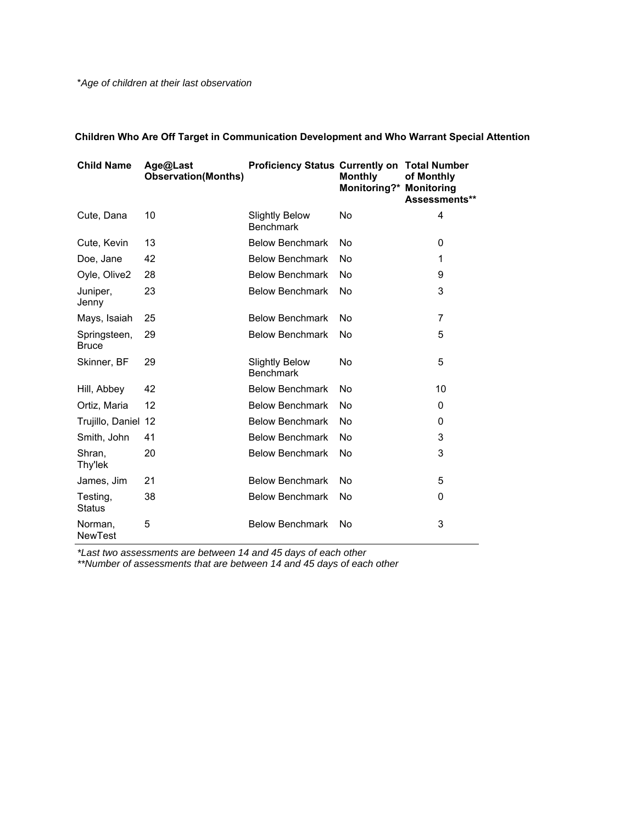\**Age of children at their last observation*

| <b>Child Name</b>            | Age@Last<br><b>Observation(Months)</b> | <b>Proficiency Status Currently on Total Number</b> | <b>Monthly</b><br><b>Monitoring?* Monitoring</b> | of Monthly<br>Assessments** |
|------------------------------|----------------------------------------|-----------------------------------------------------|--------------------------------------------------|-----------------------------|
| Cute, Dana                   | 10                                     | <b>Slightly Below</b><br><b>Benchmark</b>           | No                                               | 4                           |
| Cute, Kevin                  | 13                                     | <b>Below Benchmark</b>                              | No                                               | 0                           |
| Doe, Jane                    | 42                                     | <b>Below Benchmark</b>                              | No                                               | 1                           |
| Oyle, Olive2                 | 28                                     | <b>Below Benchmark</b>                              | No                                               | 9                           |
| Juniper,<br>Jenny            | 23                                     | <b>Below Benchmark</b>                              | No                                               | 3                           |
| Mays, Isaiah                 | 25                                     | <b>Below Benchmark</b>                              | No                                               | $\overline{7}$              |
| Springsteen,<br><b>Bruce</b> | 29                                     | <b>Below Benchmark</b>                              | No                                               | 5                           |
| Skinner, BF                  | 29                                     | <b>Slightly Below</b><br><b>Benchmark</b>           | No                                               | 5                           |
| Hill, Abbey                  | 42                                     | <b>Below Benchmark</b>                              | No                                               | 10                          |
| Ortiz, Maria                 | 12                                     | <b>Below Benchmark</b>                              | No                                               | 0                           |
| Trujillo, Daniel 12          |                                        | <b>Below Benchmark</b>                              | No                                               | 0                           |
| Smith, John                  | 41                                     | <b>Below Benchmark</b>                              | No                                               | 3                           |
| Shran,<br>Thy'lek            | 20                                     | <b>Below Benchmark</b>                              | No                                               | 3                           |
| James, Jim                   | 21                                     | <b>Below Benchmark</b>                              | No                                               | 5                           |
| Testing,<br><b>Status</b>    | 38                                     | <b>Below Benchmark</b>                              | No                                               | 0                           |
| Norman,<br><b>NewTest</b>    | 5                                      | <b>Below Benchmark</b>                              | No                                               | 3                           |

**Children Who Are Off Target in Communication Development and Who Warrant Special Attention**

*\*Last two assessments are between 14 and 45 days of each other* 

*\*\*Number of assessments that are between 14 and 45 days of each other*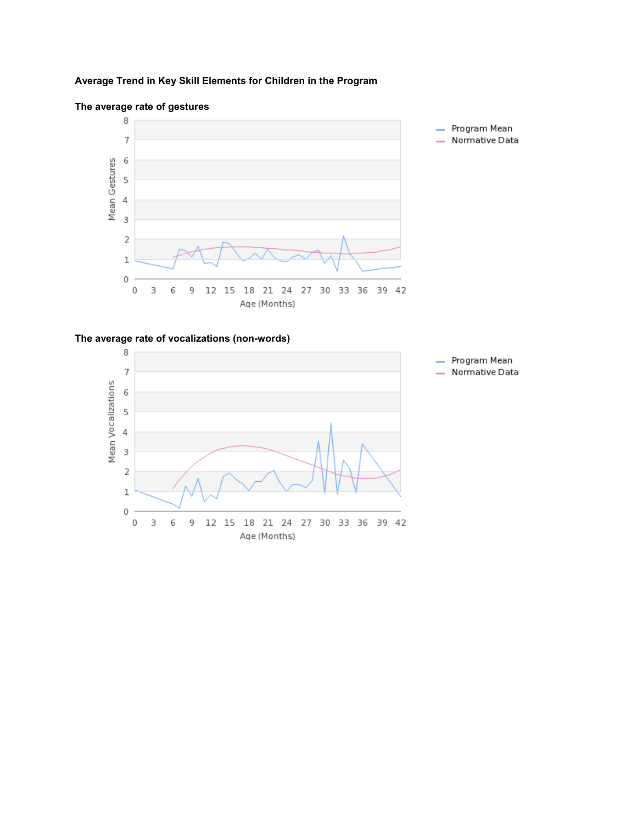# **Average Trend in Key Skill Elements for Children in the Program**



## **The average rate of gestures**

## **The average rate of vocalizations (non-words)**